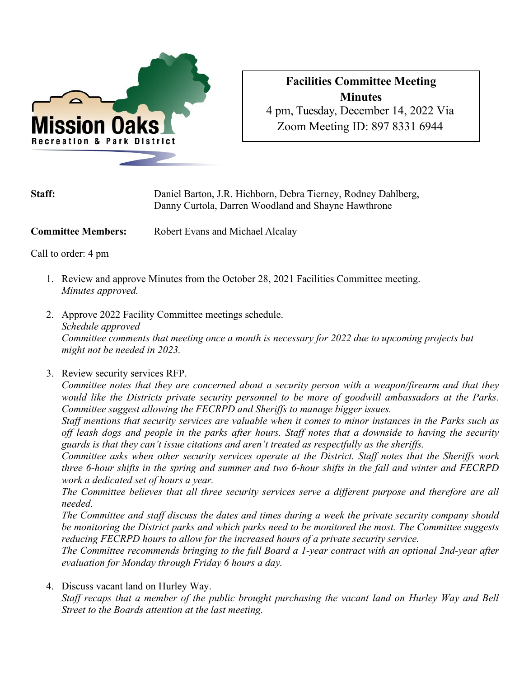

## **Facilities Committee Meeting Minutes** 4 pm, Tuesday, December 14, 2022 Via Zoom Meeting ID: 897 8331 6944

| <b>Staff:</b> | Daniel Barton, J.R. Hichborn, Debra Tierney, Rodney Dahlberg, |
|---------------|---------------------------------------------------------------|
|               | Danny Curtola, Darren Woodland and Shayne Hawthrone           |

**Committee Members:** Robert Evans and Michael Alcalay

Call to order: 4 pm

- 1. Review and approve Minutes from the October 28, 2021 Facilities Committee meeting. *Minutes approved.*
- 2. Approve 2022 Facility Committee meetings schedule. *Schedule approved Committee comments that meeting once a month is necessary for 2022 due to upcoming projects but might not be needed in 2023.*
- 3. Review security services RFP.

*Committee notes that they are concerned about a security person with a weapon/firearm and that they would like the Districts private security personnel to be more of goodwill ambassadors at the Parks. Committee suggest allowing the FECRPD and Sheriffs to manage bigger issues.*

*Staff mentions that security services are valuable when it comes to minor instances in the Parks such as off leash dogs and people in the parks after hours. Staff notes that a downside to having the security guards is that they can't issue citations and aren't treated as respectfully as the sheriffs.*

*Committee asks when other security services operate at the District. Staff notes that the Sheriffs work three 6-hour shifts in the spring and summer and two 6-hour shifts in the fall and winter and FECRPD work a dedicated set of hours a year.*

*The Committee believes that all three security services serve a different purpose and therefore are all needed.*

*The Committee and staff discuss the dates and times during a week the private security company should be monitoring the District parks and which parks need to be monitored the most. The Committee suggests reducing FECRPD hours to allow for the increased hours of a private security service.*

*The Committee recommends bringing to the full Board a 1-year contract with an optional 2nd-year after evaluation for Monday through Friday 6 hours a day.*

4. Discuss vacant land on Hurley Way.

*Staff recaps that a member of the public brought purchasing the vacant land on Hurley Way and Bell Street to the Boards attention at the last meeting.*